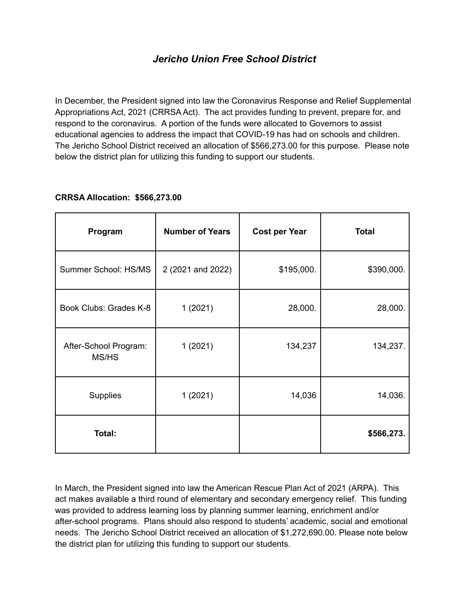## *Jericho Union Free School District*

In December, the President signed into law the Coronavirus Response and Relief Supplemental Appropriations Act, 2021 (CRRSA Act). The act provides funding to prevent, prepare for, and respond to the coronavirus. A portion of the funds were allocated to Governors to assist educational agencies to address the impact that COVID-19 has had on schools and children. The Jericho School District received an allocation of \$566,273.00 for this purpose. Please note below the district plan for utilizing this funding to support our students.

| Program                        | <b>Number of Years</b> | <b>Cost per Year</b> | <b>Total</b> |
|--------------------------------|------------------------|----------------------|--------------|
| Summer School: HS/MS           | 2 (2021 and 2022)      | \$195,000.           | \$390,000.   |
| Book Clubs: Grades K-8         | 1(2021)                | 28,000.              | 28,000.      |
| After-School Program:<br>MS/HS | 1(2021)                | 134,237              | 134,237.     |
| Supplies                       | 1(2021)                | 14,036               | 14,036.      |
| Total:                         |                        |                      | \$566,273.   |

## **CRRSA Allocation: \$566,273.00**

In March, the President signed into law the American Rescue Plan Act of 2021 (ARPA). This act makes available a third round of elementary and secondary emergency relief. This funding was provided to address learning loss by planning summer learning, enrichment and/or after-school programs. Plans should also respond to students' academic, social and emotional needs. The Jericho School District received an allocation of \$1,272,690.00. Please note below the district plan for utilizing this funding to support our students.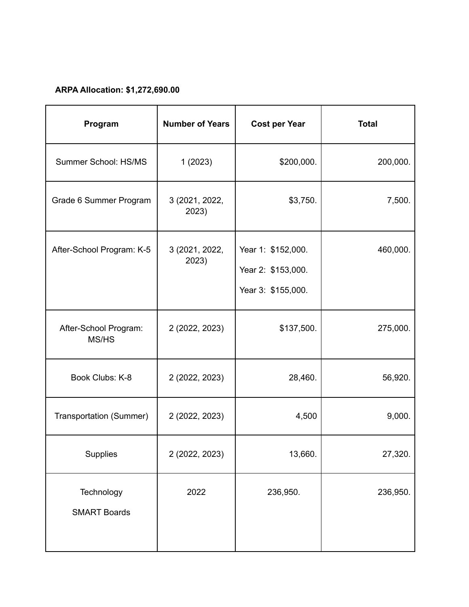## **ARPA Allocation: \$1,272,690.00**

| Program                           | <b>Number of Years</b>  | <b>Cost per Year</b>                                           | <b>Total</b> |
|-----------------------------------|-------------------------|----------------------------------------------------------------|--------------|
| Summer School: HS/MS              | 1(2023)                 | \$200,000.                                                     | 200,000.     |
| Grade 6 Summer Program            | 3 (2021, 2022,<br>2023) | \$3,750.                                                       | 7,500.       |
| After-School Program: K-5         | 3 (2021, 2022,<br>2023) | Year 1: \$152,000.<br>Year 2: \$153,000.<br>Year 3: \$155,000. | 460,000.     |
| After-School Program:<br>MS/HS    | 2 (2022, 2023)          | \$137,500.                                                     | 275,000.     |
| Book Clubs: K-8                   | 2 (2022, 2023)          | 28,460.                                                        | 56,920.      |
| Transportation (Summer)           | 2 (2022, 2023)          | 4,500                                                          | 9,000.       |
| Supplies                          | 2 (2022, 2023)          | 13,660.                                                        | 27,320.      |
| Technology<br><b>SMART Boards</b> | 2022                    | 236,950.                                                       | 236,950.     |